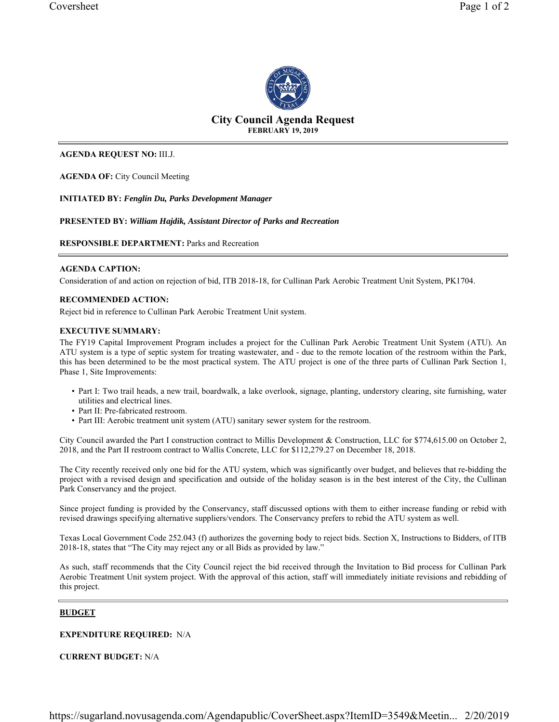

# **City Council Agenda Request FEBRUARY 19, 2019**

#### **AGENDA REQUEST NO:** III.J.

**AGENDA OF:** City Council Meeting

**INITIATED BY:** *Fenglin Du, Parks Development Manager*

**PRESENTED BY:** *William Hajdik, Assistant Director of Parks and Recreation*

### **RESPONSIBLE DEPARTMENT:** Parks and Recreation

#### **AGENDA CAPTION:**

Consideration of and action on rejection of bid, ITB 2018-18, for Cullinan Park Aerobic Treatment Unit System, PK1704.

#### **RECOMMENDED ACTION:**

Reject bid in reference to Cullinan Park Aerobic Treatment Unit system.

#### **EXECUTIVE SUMMARY:**

The FY19 Capital Improvement Program includes a project for the Cullinan Park Aerobic Treatment Unit System (ATU). An ATU system is a type of septic system for treating wastewater, and - due to the remote location of the restroom within the Park, this has been determined to be the most practical system. The ATU project is one of the three parts of Cullinan Park Section 1, Phase 1, Site Improvements:

- Part I: Two trail heads, a new trail, boardwalk, a lake overlook, signage, planting, understory clearing, site furnishing, water utilities and electrical lines.
- Part II: Pre-fabricated restroom.
- Part III: Aerobic treatment unit system (ATU) sanitary sewer system for the restroom.

City Council awarded the Part I construction contract to Millis Development & Construction, LLC for \$774,615.00 on October 2, 2018, and the Part II restroom contract to Wallis Concrete, LLC for \$112,279.27 on December 18, 2018.

The City recently received only one bid for the ATU system, which was significantly over budget, and believes that re-bidding the project with a revised design and specification and outside of the holiday season is in the best interest of the City, the Cullinan Park Conservancy and the project.

Since project funding is provided by the Conservancy, staff discussed options with them to either increase funding or rebid with revised drawings specifying alternative suppliers/vendors. The Conservancy prefers to rebid the ATU system as well.

Texas Local Government Code 252.043 (f) authorizes the governing body to reject bids. Section X, Instructions to Bidders, of ITB 2018-18, states that "The City may reject any or all Bids as provided by law."

As such, staff recommends that the City Council reject the bid received through the Invitation to Bid process for Cullinan Park Aerobic Treatment Unit system project. With the approval of this action, staff will immediately initiate revisions and rebidding of this project.

### **BUDGET**

**EXPENDITURE REQUIRED:** N/A

**CURRENT BUDGET:** N/A